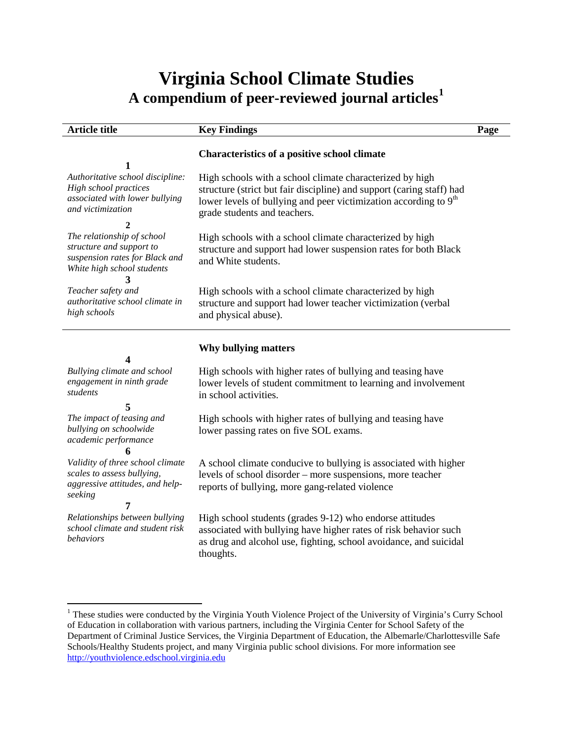# **Virginia School Climate Studies A compendium of peer-reviewed journal articles[1](#page-0-0)**

| <b>Article title</b>                                                                                                   | <b>Key Findings</b>                                                                                                                                                                                                                               | Page |
|------------------------------------------------------------------------------------------------------------------------|---------------------------------------------------------------------------------------------------------------------------------------------------------------------------------------------------------------------------------------------------|------|
|                                                                                                                        | <b>Characteristics of a positive school climate</b>                                                                                                                                                                                               |      |
| Authoritative school discipline:<br>High school practices<br>associated with lower bullying<br>and victimization       | High schools with a school climate characterized by high<br>structure (strict but fair discipline) and support (caring staff) had<br>lower levels of bullying and peer victimization according to 9 <sup>th</sup><br>grade students and teachers. |      |
| The relationship of school<br>structure and support to<br>suspension rates for Black and<br>White high school students | High schools with a school climate characterized by high<br>structure and support had lower suspension rates for both Black<br>and White students.                                                                                                |      |
| Teacher safety and<br>authoritative school climate in<br>high schools                                                  | High schools with a school climate characterized by high<br>structure and support had lower teacher victimization (verbal<br>and physical abuse).                                                                                                 |      |
|                                                                                                                        | Why bullying matters                                                                                                                                                                                                                              |      |
| 4                                                                                                                      |                                                                                                                                                                                                                                                   |      |
| Bullying climate and school<br>engagement in ninth grade<br>students                                                   | High schools with higher rates of bullying and teasing have<br>lower levels of student commitment to learning and involvement<br>in school activities.                                                                                            |      |
| 5<br>The impact of teasing and<br>bullying on schoolwide<br>academic performance                                       | High schools with higher rates of bullying and teasing have<br>lower passing rates on five SOL exams.                                                                                                                                             |      |
| Validity of three school climate<br>scales to assess bullying,<br>aggressive attitudes, and help-<br>seeking<br>7      | A school climate conducive to bullying is associated with higher<br>levels of school disorder – more suspensions, more teacher<br>reports of bullying, more gang-related violence                                                                 |      |
| Relationships between bullying<br>school climate and student risk<br>behaviors                                         | High school students (grades 9-12) who endorse attitudes<br>associated with bullying have higher rates of risk behavior such<br>as drug and alcohol use, fighting, school avoidance, and suicidal<br>thoughts.                                    |      |

<span id="page-0-0"></span><sup>&</sup>lt;sup>1</sup> These studies were conducted by the Virginia Youth Violence Project of the University of Virginia's Curry School of Education in collaboration with various partners, including the Virginia Center for School Safety of the Department of Criminal Justice Services, the Virginia Department of Education, the Albemarle/Charlottesville Safe Schools/Healthy Students project, and many Virginia public school divisions. For more information see [http://youthviolence.edschool.virginia.edu](http://youthviolence.edschool.virginia.edu/)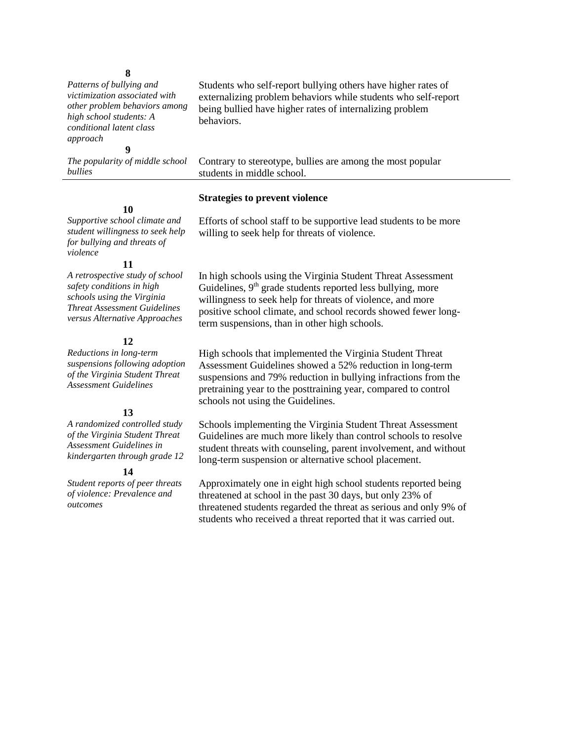# **8**

*Patterns of bullying and victimization associated with other problem behaviors among high school students: A conditional latent class approach* **9**

*The popularity of middle school bullies*

Students who self-report bullying others have higher rates of externalizing problem behaviors while students who self-report being bullied have higher rates of internalizing problem behaviors.

Contrary to stereotype, bullies are among the most popular students in middle school.

## **Strategies to prevent violence**

willing to seek help for threats of violence.

#### **10**

*Supportive school climate and student willingness to seek help for bullying and threats of violence*

#### **11**

*A retrospective study of school safety conditions in high schools using the Virginia Threat Assessment Guidelines versus Alternative Approaches*

# **12**

*Reductions in long-term suspensions following adoption of the Virginia Student Threat Assessment Guidelines*

# **13**

*A randomized controlled study of the Virginia Student Threat Assessment Guidelines in kindergarten through grade 12*

# **14**

*Student reports of peer threats of violence: Prevalence and outcomes*

In high schools using the Virginia Student Threat Assessment Guidelines,  $9<sup>th</sup>$  grade students reported less bullying, more willingness to seek help for threats of violence, and more positive school climate, and school records showed fewer longterm suspensions, than in other high schools.

Efforts of school staff to be supportive lead students to be more

High schools that implemented the Virginia Student Threat Assessment Guidelines showed a 52% reduction in long-term suspensions and 79% reduction in bullying infractions from the pretraining year to the posttraining year, compared to control schools not using the Guidelines.

Schools implementing the Virginia Student Threat Assessment Guidelines are much more likely than control schools to resolve student threats with counseling, parent involvement, and without long-term suspension or alternative school placement.

Approximately one in eight high school students reported being threatened at school in the past 30 days, but only 23% of threatened students regarded the threat as serious and only 9% of students who received a threat reported that it was carried out.